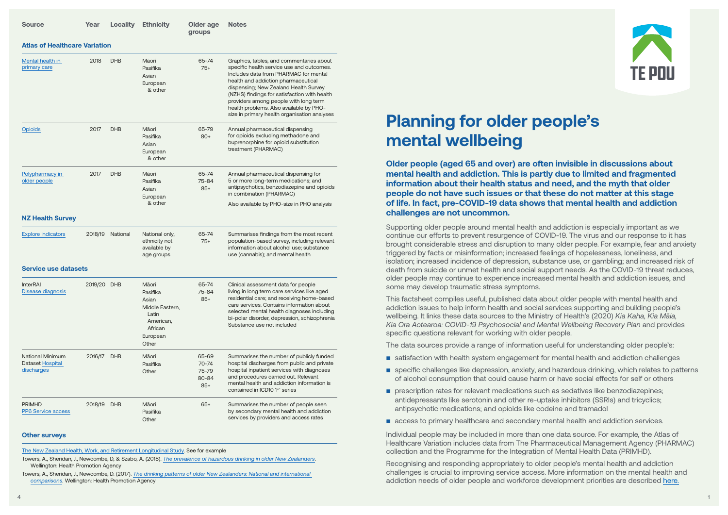| <b>Source</b>                                                    | Year    | <b>Locality</b> | <b>Ethnicity</b>                                                                                    | Older age<br>groups                           | <b>Notes</b>                                                                                                                                                                                                                                                                                                                                                                                       |
|------------------------------------------------------------------|---------|-----------------|-----------------------------------------------------------------------------------------------------|-----------------------------------------------|----------------------------------------------------------------------------------------------------------------------------------------------------------------------------------------------------------------------------------------------------------------------------------------------------------------------------------------------------------------------------------------------------|
| <b>Atlas of Healthcare Variation</b>                             |         |                 |                                                                                                     |                                               |                                                                                                                                                                                                                                                                                                                                                                                                    |
| Mental health in<br>primary care                                 | 2018    | <b>DHB</b>      | Māori<br>Pasifika<br>Asian<br>European<br>& other                                                   | 65-74<br>$75+$                                | Graphics, tables, and commentaries about<br>specific health service use and outcomes.<br>Includes data from PHARMAC for mental<br>health and addiction pharmaceutical<br>dispensing; New Zealand Health Survey<br>(NZHS) findings for satisfaction with health<br>providers among people with long term<br>health problems. Also available by PHO-<br>size in primary health organisation analyses |
| <b>Opioids</b>                                                   | 2017    | <b>DHB</b>      | Māori<br>Pasifika<br>Asian<br>European<br>& other                                                   | 65-79<br>$80+$                                | Annual pharmaceutical dispensing<br>for opioids excluding methadone and<br>buprenorphine for opioid substitution<br>treatment (PHARMAC)                                                                                                                                                                                                                                                            |
| Polypharmacy in<br>older people                                  | 2017    | <b>DHB</b>      | Māori<br>Pasifika<br>Asian<br>European<br>& other                                                   | 65-74<br>75-84<br>$85+$                       | Annual pharmaceutical dispensing for<br>5 or more long-term medications; and<br>antipsychotics, benzodiazepine and opioids<br>in combination (PHARMAC)<br>Also available by PHO-size in PHO analysis                                                                                                                                                                                               |
| <b>NZ Health Survey</b>                                          |         |                 |                                                                                                     |                                               |                                                                                                                                                                                                                                                                                                                                                                                                    |
| <b>Explore indicators</b>                                        | 2018/19 | National        | National only,<br>ethnicity not<br>available by<br>age groups                                       | 65-74<br>$75+$                                | Summarises findings from the most recent<br>population-based survey, including relevant<br>information about alcohol use; substance<br>use (cannabis); and mental health                                                                                                                                                                                                                           |
| <b>Service use datasets</b>                                      |         |                 |                                                                                                     |                                               |                                                                                                                                                                                                                                                                                                                                                                                                    |
| <b>InterRAI</b><br>Disease diagnosis                             | 2019/20 | <b>DHB</b>      | Māori<br>Pasifika<br>Asian<br>Middle Eastern,<br>Latin<br>American,<br>African<br>European<br>Other | 65-74<br>75-84<br>$85+$                       | Clinical assessment data for people<br>living in long term care services like aged<br>residential care; and receiving home-based<br>care services. Contains information about<br>selected mental health diagnoses including<br>bi-polar disorder, depression, schizophrenia<br>Substance use not included                                                                                          |
| <b>National Minimum</b><br><b>Dataset Hospital</b><br>discharges | 2016/17 | <b>DHB</b>      | Māori<br>Pasifika<br>Other                                                                          | 65-69<br>$70 - 74$<br>75-79<br>80-84<br>$85+$ | Summarises the number of publicly funded<br>hospital discharges from public and private<br>hospital inpatient services with diagnoses<br>and procedures carried out. Relevant<br>mental health and addiction information is<br>contained in ICD10 'F' series                                                                                                                                       |
| <b>PRIMHD</b><br>PP6 Service access                              | 2018/19 | <b>DHB</b>      | Māori<br>Pasifika<br>Other                                                                          | $65+$                                         | Summarises the number of people seen<br>by secondary mental health and addiction<br>services by providers and access rates                                                                                                                                                                                                                                                                         |

## **Other surveys**

[The New Zealand Health, Work, and Retirement Longitudinal Study.](https://www.massey.ac.nz/massey/learning/departments/school-of-psychology/research/hart/new-zealand-health-work-and-retirement-study/new-zealand-health-work-and-retirement-study_home.cfm) See for example

Towers, A., Sheridan, J., Newcombe, D, & Szabo, A. (2018). *[The prevalence of hazardous drinking in older New Zealanders](https://www.hpa.org.nz/research-library/research-publications/prevalence-of-hazardous-drinking-in-older-new-zealanders)*. Wellington: Health Promotion Agency

Towers, A., Sheridan, J., Newcombe, D. (2017). *[The drinking patterns of older New Zealanders: National and international](https://www.hpa.org.nz/research-library/research-publications/2017-the-drinking-patterns-of-older-new-zealanders-national-and-international-comparisons)  [comparisons](https://www.hpa.org.nz/research-library/research-publications/2017-the-drinking-patterns-of-older-new-zealanders-national-and-international-comparisons)*. Wellington: Health Promotion Agency

## **Planning for older people's mental wellbeing**

**Older people (aged 65 and over) are often invisible in discussions about mental health and addiction. This is partly due to limited and fragmented information about their health status and need, and the myth that older people do not have such issues or that these do not matter at this stage of life. In fact, pre-COVID-19 data shows that mental health and addiction challenges are not uncommon.** 

Supporting older people around mental health and addiction is especially important as we continue our efforts to prevent resurgence of COVID-19. The virus and our response to it has brought considerable stress and disruption to many older people. For example, fear and anxiety triggered by facts or misinformation; increased feelings of hopelessness, loneliness, and isolation; increased incidence of depression, substance use, or gambling; and increased risk of death from suicide or unmet health and social support needs. As the COVID-19 threat reduces, older people may continue to experience increased mental health and addiction issues, and some may develop traumatic stress symptoms.

This factsheet compiles useful, published data about older people with mental health and addiction issues to help inform health and social services supporting and building people's wellbeing. It links these data sources to the Ministry of Health's (2020) *Kia Kaha, Kia Māia, Kia Ora Aotearoa: COVID-19 Psychosocial and Mental Wellbeing Recovery Plan* and provides specific questions relevant for working with older people.

The data sources provide a range of information useful for understanding older people's:

- satisfaction with health system engagement for mental health and addiction challenges
- specific challenges like depression, anxiety, and hazardous drinking, which relates to patterns of alcohol consumption that could cause harm or have social effects for self or others
- prescription rates for relevant medications such as sedatives like benzodiazepines; antidepressants like serotonin and other re-uptake inhibitors (SSRIs) and tricyclics; antipsychotic medications; and opioids like codeine and tramadol
- access to primary healthcare and secondary mental health and addiction services.

Individual people may be included in more than one data source. For example, the Atlas of Healthcare Variation includes data from The Pharmaceutical Management Agency (PHARMAC) collection and the Programme for the Integration of Mental Health Data (PRIMHD).

Recognising and responding appropriately to older people's mental health and addiction challenges is crucial to improving service access. More information on the mental health and addiction needs of older people and workforce development priorities are described [here.](https://www.tepou.co.nz/resources/working-with-older-people-mental-health-and-addiction-workforce-development-priorities/917)